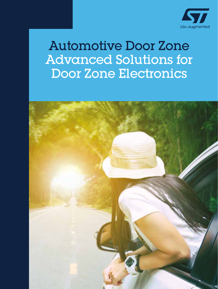

### Automotive Door Zone Advanced Solutions for Door Zone Electronics

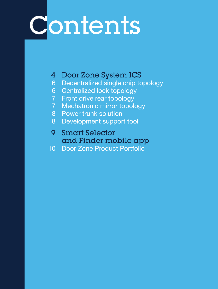# Contents

#### Door Zone System ICS

- Decentralized single chip topology
- Centralized lock topology
- Front drive rear topology
- Mechatronic mirror topology
- Power trunk solution
- Development support tool
- Smart Selector and Finder mobile app
- Door Zone Product Portfolio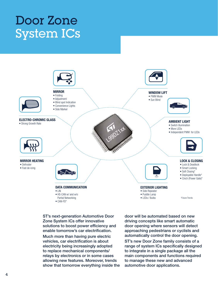### Door Zone System ICs



ST's next-generation Automotive Door Zone System ICs offer innovative solutions to boost power efficiency and enable tomorrow's car electrification. Much more than having pure electric vehicles, car electrification is about electricity being increasingly adopted to replace mechanical components/ relays by electronics or in some cases allowing new features. Moreover, trends show that tomorrow everything inside the door will be automated based on new driving concepts like smart automatic door opening where sensors will detect approaching pedestrians or cyclists and automatically control the door opening.

ST's new Door Zone family consists of a range of system ICs specifically designed to integrate in a single package all the main components and functions required to manage these new and advanced automotive door applications.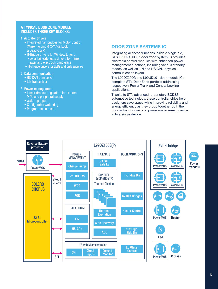#### A TYPICAL DOOR ZONE MODULE INCLUDES THREE KEY BLOCKS:

- 1. Actuator drivers
	- Integrated half bridges for Motor Control (Mirror Folding & X-Y Adj, Lock & Dead-Lock)
	- H-Bridge drivers for Window Lifter or Power Tail Gate, gate drivers for mirror heater and electrochromic glass
	- High-side drivers for LEDs and bulb supplies
- 2. Data communication
	- HS-CAN transceiver
	- LIN transceiver
- 3. Power management
	- Linear dropout regulators for external MCU and peripheral supply
	- Wake-up Input
	- Configurable watchdog
	- Programmable reset

#### DOOR ZONE SYSTEMS IC

Integrating all these functions inside a single die, ST's L99DZ100G(P) door zone system IC provides electronic control modules with enhanced power management functions, including various standby modes, as well as LIN and HS CAN physical communication layers.

The L99DZ200G and L99UDL01 door module ICs complete ST's Door Zone portfolio addressing respectively Power Trunk and Central Locking applications.

Thanks to ST's advanced, proprietary BCD8S automotive technology, these controller chips help designers save space while improving reliability and energy efficiency as they group together both the door actuator driver and power management device in to a single device.

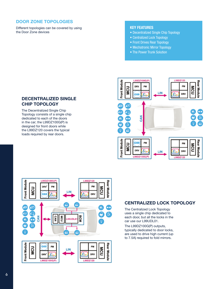#### DOOR ZONE TOPOLOGIES

Different topologies can be covered by using the Door Zone devices

#### KEY FEATURES

- Decentralized Single Chip Topology
- Centralized Lock Topology
- Front Drives Rear Topology
- Mechatronic Mirror Topology
- The Power Trunk Solution

#### DECENTRALIZED SINGLE CHIP TOPOLOGY

The Decentralized Single Chip Topology consists of a single chip dedicated to each of the doors in the car; the L99DZ100G(P) is designed for front doors while the L99DZ120 covers the typical loads required by rear doors.





#### CENTRALIZED LOCK TOPOLOGY

The Centralized Lock Topology uses a single chip dedicated to each door, but all the locks in the car use our L99UDL01.

The L99DZ100G(P) outputs, typically dedicated to door locks, are used to drive high current (up to 7.5A) required to fold mirrors.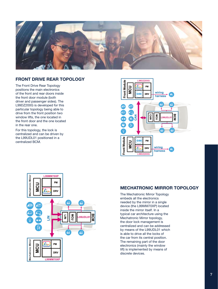

#### FRONT DRIVE REAR TOPOLOGY

The Front Drive Rear Topology positions the main electronics of the front and rear doors inside the front door module (both driver and passenger sides). The L99DZ200G is developed for this particular topology being able to drive from the front position two window lifts, the one located in the front door and the one located in the rear one.

For this topology, the lock is centralized and can be driven by the L99UDL01 positioned in a centralized BCM.





#### MECHATRONIC MIRROR TOPOLOGY

The Mechatronic Mirror Topology embeds all the electronics needed by the mirror in a single device (the L99MM70XP) located inside the mirror itself. In a typical car architecture using the Mechatronic Mirror topology, the door lock management is centralized and can be addressed by means of the L99UDL01 which is able to drive all the locks of the car from its central position. The remaining part of the door electronics (mainly the window lift) is implemented by means of discrete devices.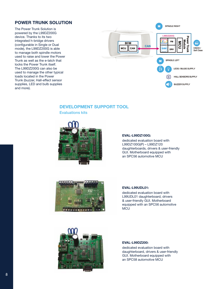#### POWER TRUNK SOLUTION

The Power Trunk Solution is powered by the L99DZ200G device. Thanks to its two integrated h-bridge drivers (configurable in Single or Dual mode), the L99DZ200G is able to manage both spindle motors used to raise and lower the Power Trunk as well as the e-latch that locks the Power Trunk itself. The L99DZ200G can also be used to manage the other typical loads located in the Power Trunk (buzzer, Hall-effect sensor supplies, LED and bulb supplies and more).



#### DEVELOPMENT SUPPORT TOOL

Evaluations kits



#### EVAL-L99DZ100G:

dedicated evaluation board with L99DZ100G(P) – L99DZ120 daughterboards, drivers & user-friendly GUI. Motherboard equipped with an SPC56 automotive MCU



#### EVAL-L99UDL01:

dedicated evaluation board with L99UDL01 daughterboard, drivers & user-friendly GUI. Motherboard equipped with an SPC56 automotive **MCU** 



#### EVAL-L99DZ200:

dedicated evaluation board with daughterboard, drivers & user-friendly GUI. Motherboard equipped with an SPC58 automotive MCU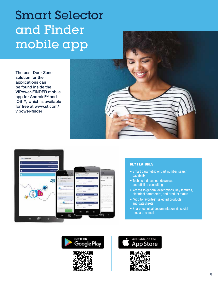### Smart Selector and Finder mobile app

The best Door Zone solution for their applications can be found inside the VIPower-FINDER mobile app for Android™ and iOS™, which is available for free at www.st.com/ vipower-finder



#### KEY FEATURES

- Smart parametric or part number search capability
- Technical datasheet download and off-line consulting
- Access to general descriptions, key features, electrical parameters, and product status
- "Add to favorites" selected products and datasheets
- Share technical documentation via social media or e-mail



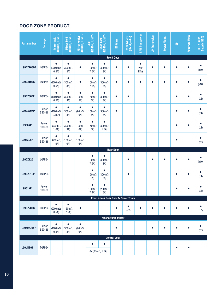#### DOOR ZONE PRODUCT

| <b>Part number</b>        | Package         | Mirror Adj.<br>(RDSON, ILIMIT)                  | Mirror Fold<br>(RDSON, ILIMIT)               | Mirror Heater<br>(RDSON, ILIMIT)           | (RDSON, ILIMIT)<br>Lock                      | Dead Lock<br>(RDSON, ILIMIT)                 | EC Glass            | (hbridge drv)<br><b>Window Lift</b> | <b>CAN Transceiver</b>    | <b>LIN</b> Transceiver | Power Mgmt. | $\overline{\mathbf{s}}$ | <b>Recovery Mode</b> | LED / Bulbs<br>Supply (HSD) |
|---------------------------|-----------------|-------------------------------------------------|----------------------------------------------|--------------------------------------------|----------------------------------------------|----------------------------------------------|---------------------|-------------------------------------|---------------------------|------------------------|-------------|-------------------------|----------------------|-----------------------------|
|                           |                 |                                                 |                                              |                                            |                                              |                                              | <b>Front Door</b>   |                                     |                           |                        |             |                         |                      |                             |
| L99DZ100GP                | LQFP64          | $\bullet$<br>$(2000m\Omega,$<br>0.5A)           | $\bullet$<br>$(300 \text{m}\Omega,$<br>3A)   | $\bullet$                                  | $\bullet$<br>$(100 \text{m}\Omega,$<br>7.5A) | $\bullet$<br>$(300 \text{m}\Omega,$<br>3A)   | $\bullet$           | $\bullet$                           | $\bullet$<br>(with<br>P/N | $\bullet$              |             | O                       | $\bullet$            | $\bullet$<br>(x10)          |
| L99DZ100G                 | LQFP64          | $\bullet$<br>$(2000 \text{m }\Omega,$<br>0.5A)  | $\bullet$<br>$(300 \text{m}\Omega,$<br>3A)   | $\bullet$                                  | $\bullet$<br>$(100 \text{m}\Omega,$<br>7.5A) | $\bullet$<br>$(300 \text{m}\Omega,$<br>3A)   | $\bullet$           | $\bullet$                           | O                         | €                      | $\bullet$   | €                       | $\bullet$            | (x10)                       |
| <b>L99DZ80EP</b>          | TQFP64          | $\bullet$<br>$(1600 \text{m} \Omega,$<br>0.5A)  | $\bullet$<br>$(300 \text{m}\Omega,$<br>3A)   | $\bullet$<br>$(100 \text{m}\Omega,$<br>5A) | $(150 \text{m}\Omega,$<br>6A)                | $\bullet$<br>$(300 \text{m}\Omega,$<br>3A)   | $\bullet$           | $\bullet$                           |                           |                        |             | $\bullet$               | $\bullet$            | $\bullet$<br>(x3)           |
| <b>L99DZ70XP</b>          | Power<br>SS0-36 | $\bullet$<br>$(1600 \text{m }\Omega,$<br>0.75A) | $\bullet$<br>$(300 \text{m}\Omega,$<br>3A)   | $\bullet$<br>$(90 \text{m}\Omega,$<br>6A)  | $\bullet$<br>$(150 \text{m}\Omega,$<br>6A)   | $\bullet$<br>$(300 \text{m}\Omega,$<br>3A)   | $\bullet$           |                                     |                           |                        |             |                         | e                    | $\bullet$<br>(x4)           |
| L9950XP                   | Power<br>SS0-36 | $\bullet$<br>$(800 \text{m}\Omega,$<br>1.6A)    | $\bullet$<br>$(300 \text{m}\Omega,$<br>3A)   | $\bullet$<br>$(100 \text{m}\Omega,$<br>6A) | $\bullet$<br>$(150 \text{m}\Omega,$<br>6A)   | $\bullet$<br>$(800 \text{m}\Omega,$<br>1.5A) |                     |                                     |                           |                        |             |                         | $\bullet$            | (x4)                        |
| <b>L9953LXP</b>           | Power<br>SS0-36 | $\bullet$<br>$(800 \text{m}\Omega,$<br>1.6A)    | $\bullet$<br>$(150 \text{m}\Omega,$<br>6A)   | $\bullet$<br>$(100 \text{m}\Omega,$<br>6A) |                                              |                                              |                     |                                     |                           |                        |             | $\bullet$               |                      | $\bullet$<br>(x2)           |
|                           |                 |                                                 |                                              |                                            |                                              |                                              | <b>Rear Door</b>    |                                     |                           |                        |             |                         |                      |                             |
| L99DZ120                  | LQFP64          |                                                 |                                              |                                            | $\bullet$<br>$(100 \text{m}\Omega,$<br>7.5A) | $\bullet$<br>$(300 \text{m}\Omega,$<br>3A)   |                     | $\bullet$                           |                           |                        |             |                         | $\bullet$            | $\bullet$<br>(x10)          |
| <b>L99DZ81EP</b>          | TQFP64          |                                                 |                                              |                                            | $\bullet$<br>$(150 \text{m}\Omega,$<br>6A)   | $\bullet$<br>$(300 \text{m}\Omega,$<br>3A)   |                     | $\bullet$                           |                           |                        |             |                         | $\bullet$            | (x4)                        |
| L9951XP                   | Power<br>SS0-36 |                                                 |                                              |                                            | $\bullet$<br>$(150 \text{m}\Omega,$<br>7.4A) | $\bullet$<br>$(200 \text{m}\Omega,$<br>5A)   |                     |                                     |                           |                        |             |                         | $\bullet$            | (x2)                        |
|                           |                 |                                                 |                                              |                                            |                                              | Front drives Rear Door & Power Trunk         |                     |                                     |                           |                        |             |                         |                      |                             |
| L99DZ200G                 | LQFP64          | $\bullet$<br>$(2000 \text{m }\Omega,$<br>0.5A)  | $\bullet$<br>$(150 \text{m}\Omega,$<br>7.5A) | $\bullet$                                  |                                              |                                              | $\bullet$           | $\bullet$<br>(x2)                   | $\bullet$                 | $\bullet$              | $\bullet$   | $\bullet$               | $\bullet$            | (x7)                        |
| <b>Mechatronic mirror</b> |                 |                                                 |                                              |                                            |                                              |                                              |                     |                                     |                           |                        |             |                         |                      |                             |
| L99MM70XP                 | Power<br>SS0-36 | $\bullet$<br>$(1600 \text{m} \Omega,$<br>0.5A)  | $\bullet$<br>$(300 \text{m}\Omega,$<br>3A)   | $\bullet$<br>$(90m\Omega,$<br>6A)          |                                              |                                              | $\bullet$           |                                     |                           | $\bullet$              | $\bullet$   |                         | $\bullet$            | $\bullet$<br>(x2)           |
|                           |                 |                                                 |                                              |                                            |                                              |                                              | <b>Central Lock</b> |                                     |                           |                        |             |                         |                      |                             |
| <b>L99UDL01</b>           | TQFP64          |                                                 |                                              |                                            | $\bullet$<br>6x (90mΩ, 5.3A)                 | $\bullet$                                    |                     |                                     |                           |                        |             | $\bullet$               | $\bullet$            |                             |